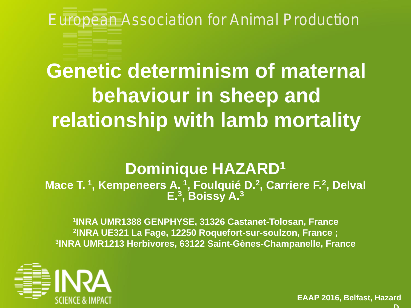European Association for Animal Production

# **Genetic determinism of maternal behaviour in sheep and relationship with lamb mortality**

# **Dominique HAZARD1**

**Mace T. <sup>1</sup> , Kempeneers A. <sup>1</sup> , Foulquié D.2 , Carriere F.2 , Delval E.3 , Boissy A.3**

**1INRA UMR1388 GENPHYSE, 31326 Castanet-Tolosan, France 2INRA UE321 La Fage, 12250 Roquefort-sur-soulzon, France ; 3INRA UMR1213 Herbivores, 63122 Saint-Gènes-Champanelle, France**



**EAAP 2016, Belfast, Hazard D**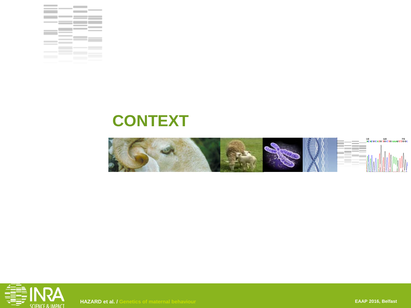

# **CONTEXT**





**HAZARD et al. / Genetics of maternal behaviour EAAP 2016, Belfast**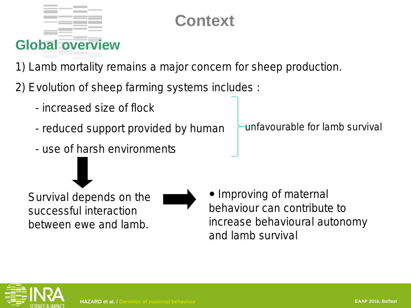# **Context**

1) Lamb mortality remains a major concern for sheep production.

2) Evolution of sheep farming systems includes :

- increased size of flock

**Global overview**

- reduced support provided by human
- use of harsh environments

Survival depends on the successful interaction

between ewe and lamb.

• Improving of maternal behaviour can contribute to increase behavioural autonomy and lamb survival





unfavourable for lamb survival

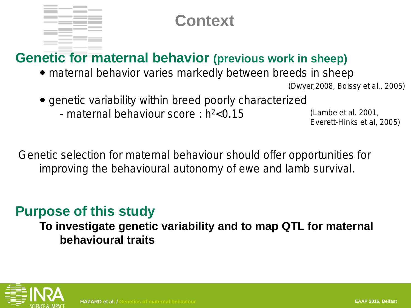

## **Context**

## **Genetic for maternal behavior (previous work in sheep)**

• maternal behavior varies markedly between breeds in sheep

(Dwyer,2008, Boissy et al., 2005)

- genetic variability within breed poorly characterized
	- maternal behaviour score :  $h^2 < 0.15$

(Lambe et al. 2001, Everett-Hinks et al, 2005)

Genetic selection for maternal behaviour should offer opportunities for improving the behavioural autonomy of ewe and lamb survival.

## **Purpose of this study**

**To investigate genetic variability and to map QTL for maternal behavioural traits**

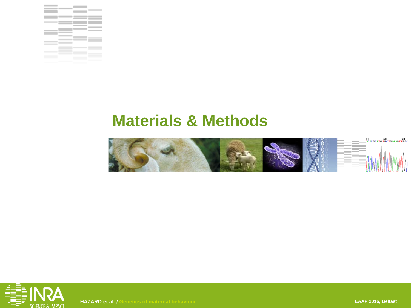





**HAZARD et al. / Genetics of maternal behaviour EAAP 2016, Belfast**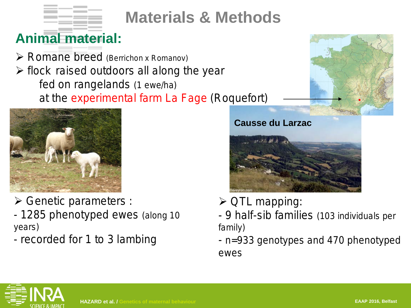

# **Animal material:**

 $\triangleright$  Romane breed (Berrichon x Romanov)  $\triangleright$  flock raised outdoors all along the year fed on rangelands (1 ewe/ha) at the experimental farm La Fage (Roquefort)



Genetic parameters :

- 1285 phenotyped ewes (along 10 years)
- recorded for 1 to 3 lambing



- $\triangleright$  QTL mapping:
- 9 half-sib families (103 individuals per family)
- n=933 genotypes and 470 phenotyped ewes

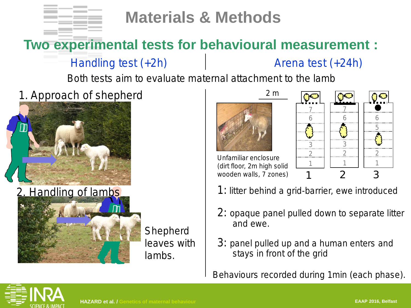

# **Two experimental tests for behavioural measurement :**

Handling test (+2h)

Arena test (+24h)

Both tests aim to evaluate maternal attachment to the lamb

1. Approach of shepherd





Shepherd leaves with lambs.



Unfamiliar enclosure (dirt floor, 2m high solid wooden walls, 7 zones)



- 1: litter behind a grid-barrier, ewe introduced
- 2: opaque panel pulled down to separate litter and ewe.
- 3: panel pulled up and a human enters and stays in front of the grid

Behaviours recorded during 1min (each phase).

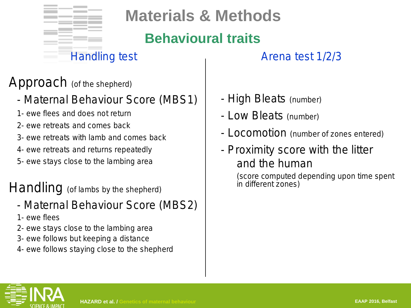

# **Behavioural traits**

## Handling test **Arena** test 1/2/3

## Approach (of the shepherd)

- Maternal Behaviour Score (MBS1)
- 1- ewe flees and does not return
- 2- ewe retreats and comes back
- 3- ewe retreats with lamb and comes back
- 4- ewe retreats and returns repeatedly
- 5- ewe stays close to the lambing area

## Handling (of lambs by the shepherd)

- Maternal Behaviour Score (MBS2)
- 1- ewe flees
- 2- ewe stays close to the lambing area
- 3- ewe follows but keeping a distance
- 4- ewe follows staying close to the shepherd
- High Bleats (number)
- Low Bleats (number)
- Locomotion (number of zones entered)
- Proximity score with the litter and the human

(score computed depending upon time spent in different zones)

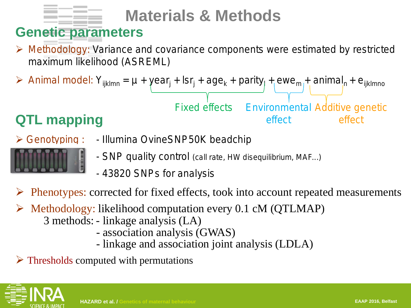

# **Genetic parameters**

 $\triangleright$  Methodology: Variance and covariance components were estimated by restricted maximum likelihood (ASREML)

▶ Animal model: 
$$
Y_{ijklmn} = \mu + \text{year}_j + \text{lsr}_j + \text{age}_k + \text{parity}_j + \text{ewe}_m + \text{animal}_n + \text{e}_{ijklmn}
$$

\nFixed effects: Environmental Additive genetic effect: effect: effect:

# **QTL mapping** effect effect effect

- Genotyping : Illumina OvineSNP50K beadchip
	- SNP quality control (call rate, HW disequilibrium, MAF...)
	- 43820 SNPs for analysis
- $\triangleright$  Phenotypes: corrected for fixed effects, took into account repeated measurements
- $\triangleright$  Methodology: likelihood computation every 0.1 cM (QTLMAP)
	- 3 methods: linkage analysis (LA)
		- association analysis (GWAS)
		- linkage and association joint analysis (LDLA)
- $\triangleright$  Thresholds computed with permutations

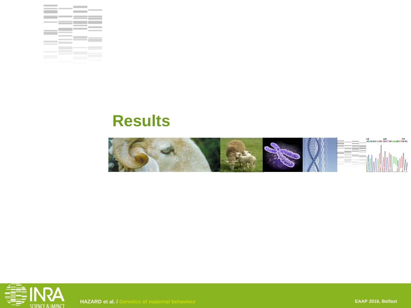

# **Results**





**HAZARD et al. / Genetics of maternal behaviour EAAP 2016, Belfast**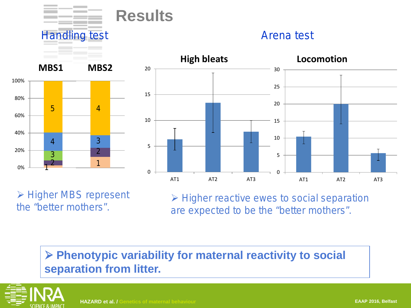

Handling test **Arena** test







**► Higher MBS represent** the "better mothers".

 $\triangleright$  Higher reactive ewes to social separation are expected to be the "better mothers".

## **Phenotypic variability for maternal reactivity to social separation from litter.**

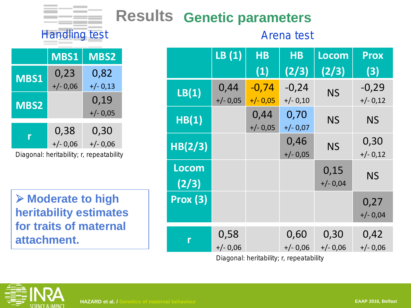# **Results Genetic parameters**

## Handling test **Arena** test

|                                          | <b>MBS1</b> | <b>MBS2</b> |  |  |  |
|------------------------------------------|-------------|-------------|--|--|--|
| <b>MBS1</b>                              | 0,23        | 0,82        |  |  |  |
|                                          | $+/- 0,06$  | $+/- 0,13$  |  |  |  |
|                                          |             | 0,19        |  |  |  |
| <b>MBS2</b>                              |             | $+/- 0.05$  |  |  |  |
| r                                        | 0,38        | 0,30        |  |  |  |
|                                          | $+/- 0.06$  | $+/- 0.06$  |  |  |  |
| Diagonal: heritability; r, repeatability |             |             |  |  |  |

 **Moderate to high heritability estimates for traits of maternal attachment.**

|         | LB(1)      | <b>HB</b>  | <b>HB</b>  | Locom      | <b>Prox</b> |
|---------|------------|------------|------------|------------|-------------|
|         |            | (1)        | (2/3)      | (2/3)      | (3)         |
| LB(1)   | 0,44       | $-0,74$    | $-0,24$    | <b>NS</b>  | $-0,29$     |
|         | $+/- 0.05$ | $+/- 0.05$ | $+/- 0,10$ |            | $+/- 0,12$  |
| HB(1)   |            | 0,44       | 0,70       | <b>NS</b>  | <b>NS</b>   |
|         |            | $+/- 0.05$ | $+/- 0,07$ |            |             |
| HB(2/3) |            |            | 0,46       | <b>NS</b>  | 0,30        |
|         |            |            | $+/- 0.05$ |            | $+/- 0,12$  |
| Locom   |            |            |            | 0,15       |             |
| (2/3)   |            |            |            | $+/- 0.04$ | <b>NS</b>   |
| Prox(3) |            |            |            |            | 0,27        |
|         |            |            |            |            | $+/- 0.04$  |
|         | 0,58       |            | 0,60       | 0,30       | 0,42        |
|         | $+/- 0.06$ |            | $+/- 0,06$ | $+/- 0,06$ | $+/- 0,06$  |

Diagonal: heritability; r, repeatability

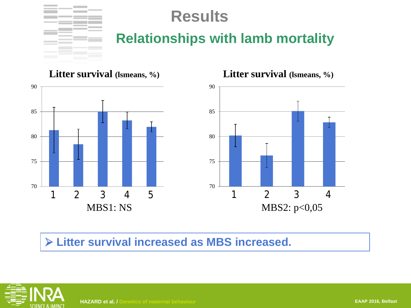

# **Results**

## **Relationships with lamb mortality**

**Litter survival (lsmeans, %)**





**Litter survival (lsmeans, %)**

## **Litter survival increased as MBS increased.**

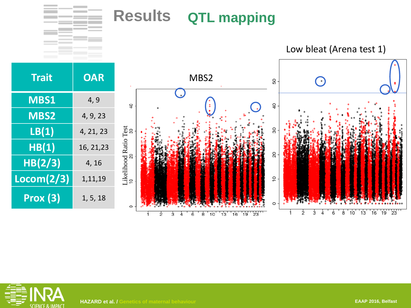# **Results QTL mapping**









 $\frac{1}{2}$ 

j.

 $\overline{3}$ 

4

6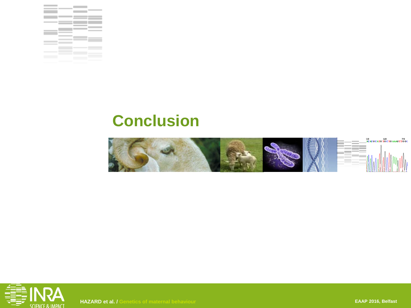

# **Conclusion**



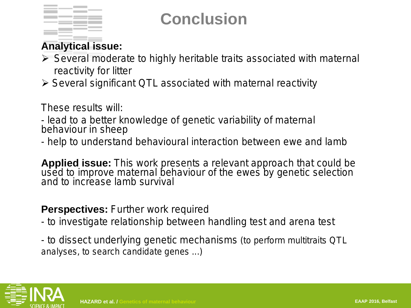

# **Conclusion**

## **Analytical issue:**

- $\triangleright$  Several moderate to highly heritable traits associated with maternal reactivity for litter
- $\triangleright$  Several significant QTL associated with maternal reactivity

These results will:

- lead to a better knowledge of genetic variability of maternal behaviour in sheep

- help to understand behavioural interaction between ewe and lamb

**Applied issue:** This work presents a relevant approach that could be used to improve maternal behaviour of the ewes by genetic selection<br>and to increase lamb survival

### **Perspectives:** Further work required

- to investigate relationship between handling test and arena test
- to dissect underlying genetic mechanisms (to perform multitraits QTL analyses, to search candidate genes ...)

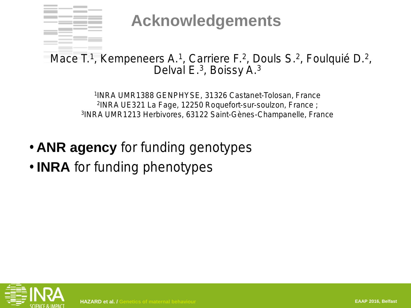

**Acknowledgements**

Mace T.<sup>1</sup>, Kempeneers A.<sup>1</sup>, Carriere F.<sup>2</sup>, Douls S.<sup>2</sup>, Foulquié D.<sup>2</sup>, Delval E.<sup>3</sup>, Boissy A.<sup>3</sup>

> 1INRA UMR1388 GENPHYSE, 31326 Castanet-Tolosan, France 2INRA UE321 La Fage, 12250 Roquefort-sur-soulzon, France ; 3INRA UMR1213 Herbivores, 63122 Saint-Gènes-Champanelle, France

- **ANR agency** for funding genotypes
- **INRA** for funding phenotypes